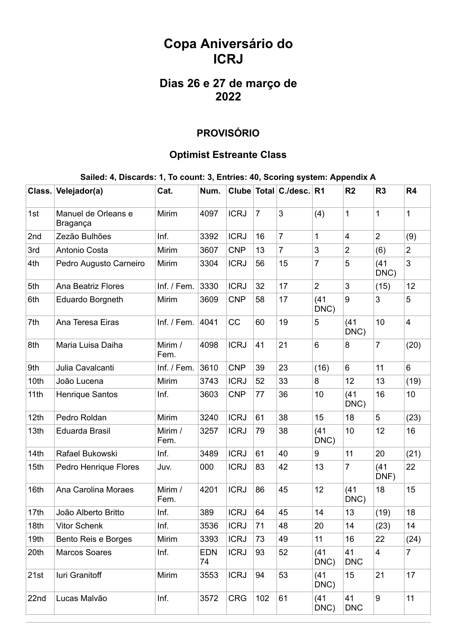# **Copa Aniversário do ICRJ**

## **Dias 26 e 27 de março de 2022**

### **PROVISÓRIO**

#### **Optimist Estreante Class**

#### **Sailed: 4, Discards: 1, To count: 3, Entries: 40, Scoring system: Appendix A**

|      | Class. Velejador(a)             | Cat.            | Num.             |             |                | Clube Total C./desc. R1 |                | R <sub>2</sub>   | R <sub>3</sub> | R <sub>4</sub> |
|------|---------------------------------|-----------------|------------------|-------------|----------------|-------------------------|----------------|------------------|----------------|----------------|
| 1st  | Manuel de Orleans e<br>Bragança | Mirim           | 4097             | <b>ICRJ</b> | $\overline{7}$ | 3                       | (4)            | 1                | $\mathbf{1}$   | 1              |
| 2nd  | Zezão Bulhões                   | Inf.            | 3392             | <b>ICRJ</b> | 16             | $\overline{7}$          | 1              | $\overline{4}$   | $\overline{2}$ | (9)            |
| 3rd  | Antonio Costa                   | Mirim           | 3607             | <b>CNP</b>  | 13             | $\overline{7}$          | 3              | $\overline{2}$   | (6)            | $\overline{2}$ |
| 4th  | Pedro Augusto Carneiro          | Mirim           | 3304             | <b>ICRJ</b> | 56             | 15                      | $\overline{7}$ | 5                | (41)<br>DNC)   | 3              |
| 5th  | <b>Ana Beatriz Flores</b>       | Inf. / Fem.     | 3330             | <b>ICRJ</b> | 32             | 17                      | $\overline{2}$ | 3                | (15)           | 12             |
| 6th  | Eduardo Borgneth                | Mirim           | 3609             | <b>CNP</b>  | 58             | 17                      | (41)<br>DNC)   | 9                | 3              | 5              |
| 7th  | Ana Teresa Eiras                | Inf. / Fem.     | 4041             | CC          | 60             | 19                      | 5              | (41)<br>DNC)     | 10             | $\overline{4}$ |
| 8th  | Maria Luisa Daiha               | Mirim /<br>Fem. | 4098             | <b>ICRJ</b> | 41             | 21                      | 6              | 8                | $\overline{7}$ | (20)           |
| 9th  | Julia Cavalcanti                | Inf. / Fem.     | 3610             | <b>CNP</b>  | 39             | 23                      | (16)           | 6                | 11             | $6\phantom{1}$ |
| 10th | João Lucena                     | Mirim           | 3743             | <b>ICRJ</b> | 52             | 33                      | 8              | 12               | 13             | (19)           |
| 11th | <b>Henrique Santos</b>          | Inf.            | 3603             | <b>CNP</b>  | 77             | 36                      | 10             | (41)<br>DNC)     | 16             | 10             |
| 12th | Pedro Roldan                    | Mirim           | 3240             | <b>ICRJ</b> | 61             | 38                      | 15             | 18               | 5              | (23)           |
| 13th | Eduarda Brasil                  | Mirim /<br>Fem. | 3257             | <b>ICRJ</b> | 79             | 38                      | (41)<br>DNC)   | 10               | 12             | 16             |
| 14th | Rafael Bukowski                 | Inf.            | 3489             | <b>ICRJ</b> | 61             | 40                      | 9              | 11               | 20             | (21)           |
| 15th | Pedro Henrique Flores           | Juv.            | 000              | <b>ICRJ</b> | 83             | 42                      | 13             | 7                | (41)<br>DNF)   | 22             |
| 16th | Ana Carolina Moraes             | Mirim /<br>Fem. | 4201             | <b>ICRJ</b> | 86             | 45                      | 12             | (41)<br>DNC)     | 18             | 15             |
| 17th | João Alberto Britto             | Inf.            | 389              | <b>ICRJ</b> | 64             | 45                      | 14             | 13               | (19)           | 18             |
| 18th | <b>Vitor Schenk</b>             | Inf.            | 3536             | <b>ICRJ</b> | 71             | 48                      | 20             | 14               | (23)           | 14             |
| 19th | Bento Reis e Borges             | Mirim           | 3393             | <b>ICRJ</b> | 73             | 49                      | 11             | 16               | 22             | (24)           |
| 20th | <b>Marcos Soares</b>            | Inf.            | <b>EDN</b><br>74 | <b>ICRJ</b> | 93             | 52                      | (41)<br>DNC)   | 41<br><b>DNC</b> | $\overline{4}$ | $\overline{7}$ |
| 21st | luri Granitoff                  | Mirim           | 3553             | <b>ICRJ</b> | 94             | 53                      | (41)<br>DNC)   | 15               | 21             | 17             |
| 22nd | Lucas Malvão                    | Inf.            | 3572             | <b>CRG</b>  | 102            | 61                      | (41)<br>DNC)   | 41<br><b>DNC</b> | 9              | 11             |